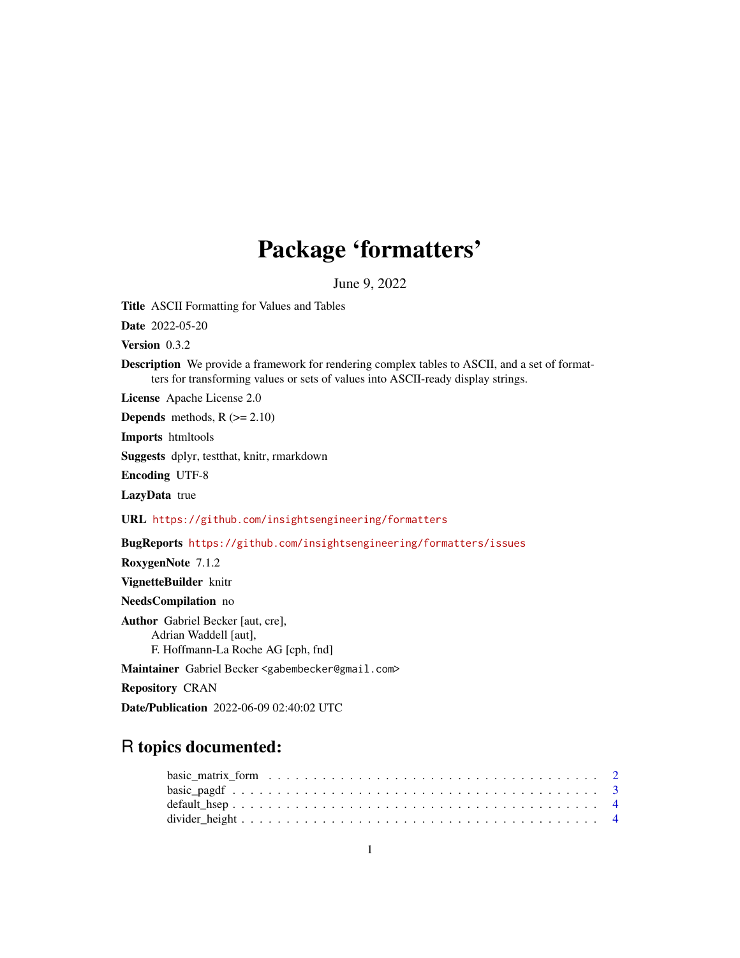# Package 'formatters'

June 9, 2022

<span id="page-0-0"></span>Title ASCII Formatting for Values and Tables

Date 2022-05-20

Version 0.3.2

Description We provide a framework for rendering complex tables to ASCII, and a set of formatters for transforming values or sets of values into ASCII-ready display strings.

License Apache License 2.0

**Depends** methods,  $R$  ( $>= 2.10$ )

Imports htmltools

Suggests dplyr, testthat, knitr, rmarkdown

Encoding UTF-8

LazyData true

URL <https://github.com/insightsengineering/formatters>

BugReports <https://github.com/insightsengineering/formatters/issues>

RoxygenNote 7.1.2

VignetteBuilder knitr

NeedsCompilation no

Author Gabriel Becker [aut, cre], Adrian Waddell [aut], F. Hoffmann-La Roche AG [cph, fnd]

Maintainer Gabriel Becker <gabembecker@gmail.com>

Repository CRAN

Date/Publication 2022-06-09 02:40:02 UTC

# R topics documented: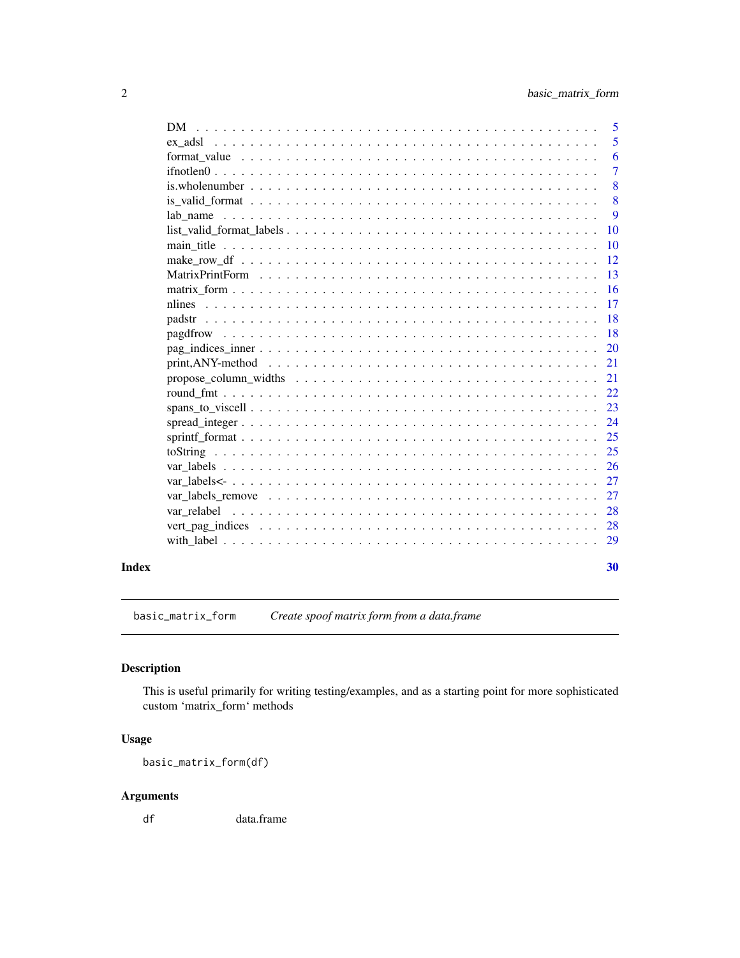<span id="page-1-0"></span>

| DM.                                                                                                         | $\overline{5}$ |
|-------------------------------------------------------------------------------------------------------------|----------------|
|                                                                                                             | 5              |
|                                                                                                             | 6              |
|                                                                                                             | $\overline{7}$ |
|                                                                                                             | 8              |
|                                                                                                             | 8              |
|                                                                                                             | 9              |
| $list\_valid\_format\_labels \dots \dots \dots \dots \dots \dots \dots \dots \dots \dots \dots \dots \dots$ | <b>10</b>      |
|                                                                                                             | 10             |
|                                                                                                             | 12             |
|                                                                                                             | 13             |
|                                                                                                             | <b>16</b>      |
|                                                                                                             | 17             |
|                                                                                                             | <b>18</b>      |
|                                                                                                             | <sup>18</sup>  |
|                                                                                                             |                |
|                                                                                                             | 21             |
| propose column widths $\ldots \ldots \ldots \ldots \ldots \ldots \ldots \ldots \ldots \ldots \ldots$        | 21             |
|                                                                                                             | 22             |
|                                                                                                             | 23             |
|                                                                                                             | 24             |
|                                                                                                             | 25             |
|                                                                                                             | 25             |
|                                                                                                             | 26             |
|                                                                                                             | 27             |
|                                                                                                             | 27             |
|                                                                                                             | 28             |
|                                                                                                             | 28             |
|                                                                                                             |                |
|                                                                                                             |                |
|                                                                                                             | 30             |

basic\_matrix\_form *Create spoof matrix form from a data.frame*

# Description

This is useful primarily for writing testing/examples, and as a starting point for more sophisticated custom 'matrix\_form' methods

# Usage

basic\_matrix\_form(df)

# Arguments

df data.frame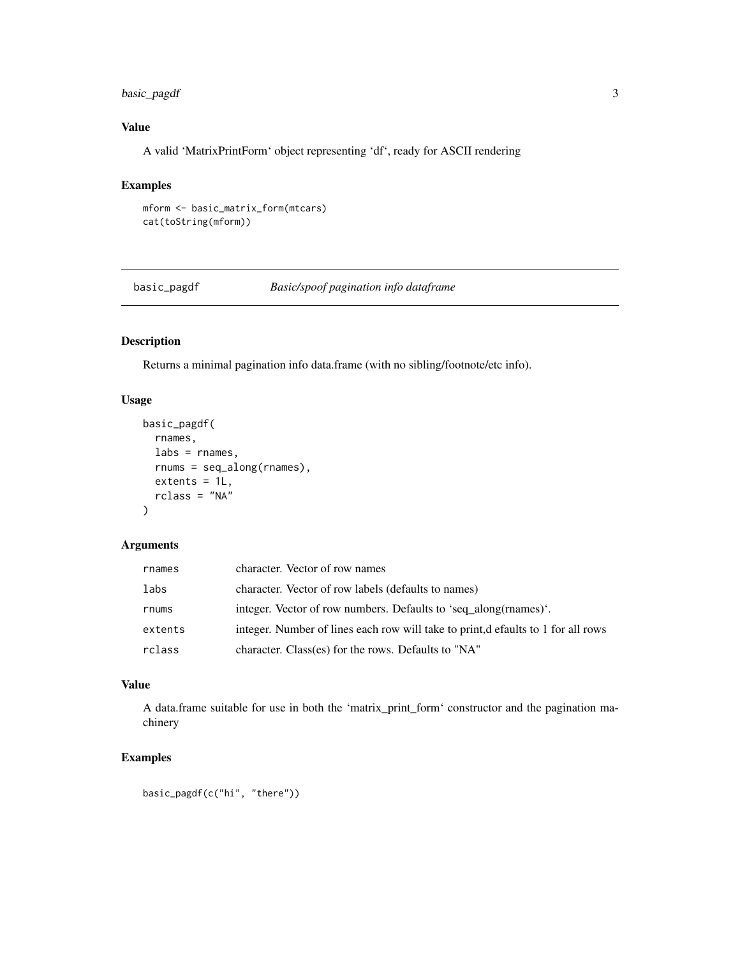# <span id="page-2-0"></span>basic\_pagdf 3

# Value

A valid 'MatrixPrintForm' object representing 'df', ready for ASCII rendering

# Examples

```
mform <- basic_matrix_form(mtcars)
cat(toString(mform))
```
basic\_pagdf *Basic/spoof pagination info dataframe*

# Description

Returns a minimal pagination info data.frame (with no sibling/footnote/etc info).

#### Usage

```
basic_pagdf(
  rnames,
  \text{labels} = \text{names},
  rnums = seq_along(rnames),
  extents = 1L,
  rclass = "NA"
)
```
# Arguments

| rnames  | character. Vector of row names                                                   |
|---------|----------------------------------------------------------------------------------|
| labs    | character. Vector of row labels (defaults to names)                              |
| rnums   | integer. Vector of row numbers. Defaults to 'seq_along(rnames)'.                 |
| extents | integer. Number of lines each row will take to print, defaults to 1 for all rows |
| rclass  | character. Class(es) for the rows. Defaults to "NA"                              |

# Value

A data.frame suitable for use in both the 'matrix\_print\_form' constructor and the pagination machinery

# Examples

```
basic_pagdf(c("hi", "there"))
```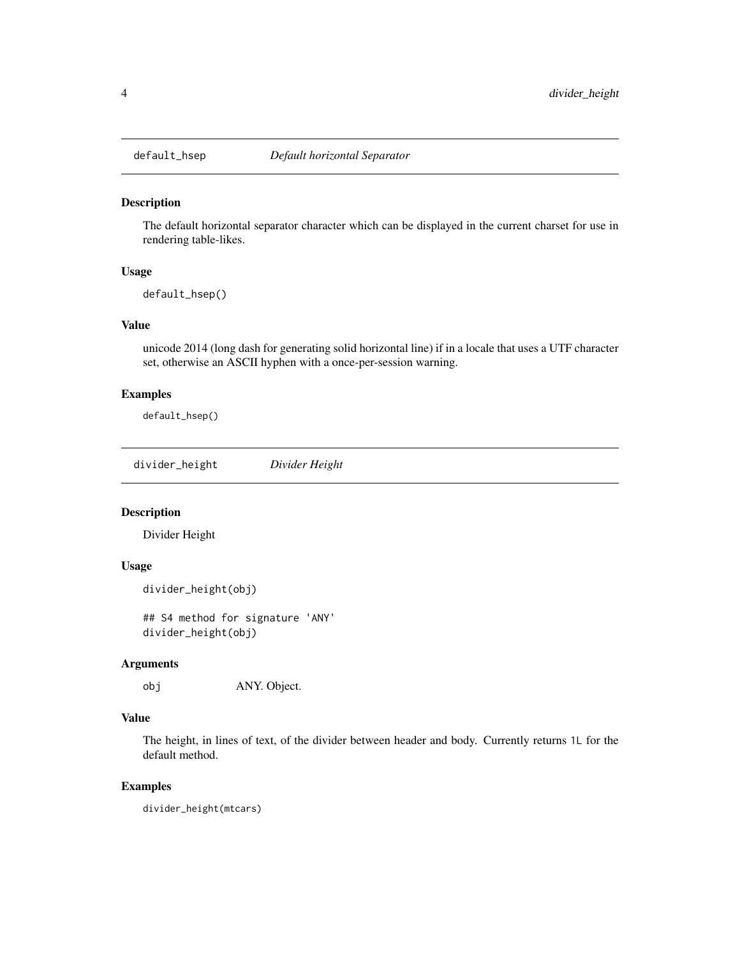<span id="page-3-0"></span>

#### Description

The default horizontal separator character which can be displayed in the current charset for use in rendering table-likes.

# Usage

default\_hsep()

#### Value

unicode 2014 (long dash for generating solid horizontal line) if in a locale that uses a UTF character set, otherwise an ASCII hyphen with a once-per-session warning.

#### Examples

default\_hsep()

divider\_height *Divider Height*

# Description

Divider Height

# Usage

```
divider_height(obj)
```
## S4 method for signature 'ANY' divider\_height(obj)

#### Arguments

obj ANY. Object.

#### Value

The height, in lines of text, of the divider between header and body. Currently returns 1L for the default method.

#### Examples

divider\_height(mtcars)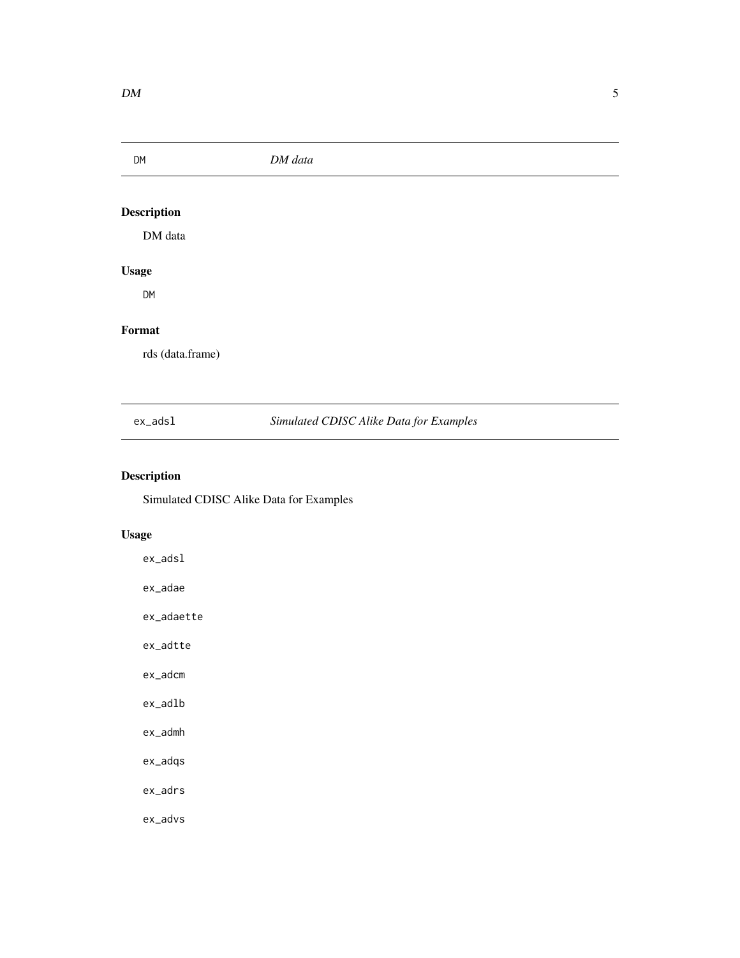<span id="page-4-0"></span>DM *DM data* Description

DM data

# Usage

DM

# Format

rds (data.frame)

ex\_adsl *Simulated CDISC Alike Data for Examples*

# Description

Simulated CDISC Alike Data for Examples

# Usage

ex\_adsl ex\_adae ex\_adaette ex\_adtte ex\_adcm ex\_adlb ex\_admh

ex\_adqs

ex\_adrs

ex\_advs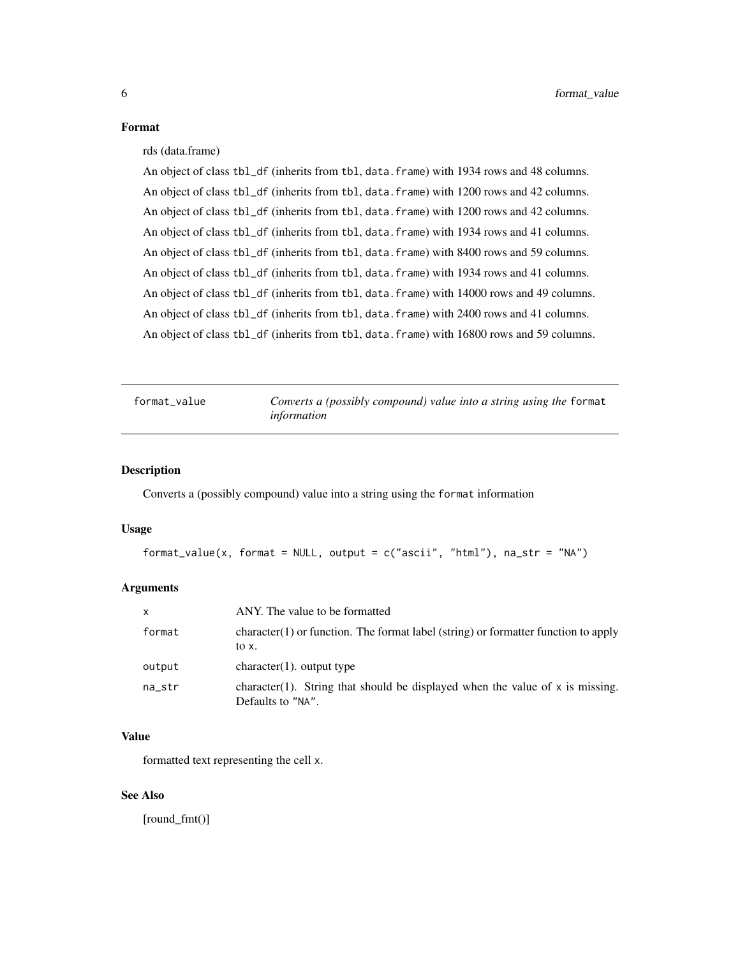#### <span id="page-5-0"></span>Format

#### rds (data.frame)

An object of class tbl\_df (inherits from tbl, data.frame) with 1934 rows and 48 columns. An object of class tbl\_df (inherits from tbl, data.frame) with 1200 rows and 42 columns. An object of class tbl\_df (inherits from tbl, data.frame) with 1200 rows and 42 columns. An object of class tbl\_df (inherits from tbl, data.frame) with 1934 rows and 41 columns. An object of class tbl\_df (inherits from tbl, data.frame) with 8400 rows and 59 columns. An object of class tbl\_df (inherits from tbl, data.frame) with 1934 rows and 41 columns. An object of class tbl\_df (inherits from tbl, data. frame) with 14000 rows and 49 columns. An object of class tbl\_df (inherits from tbl, data.frame) with 2400 rows and 41 columns. An object of class tbl\_df (inherits from tbl, data.frame) with 16800 rows and 59 columns.

<span id="page-5-1"></span>format\_value *Converts a (possibly compound) value into a string using the* format *information*

#### Description

Converts a (possibly compound) value into a string using the format information

#### Usage

```
format_value(x, format = NULL, output = c("ascii", "html"), na_str = "NA")
```
#### Arguments

| $\mathsf{x}$ | ANY. The value to be formatted                                                                       |
|--------------|------------------------------------------------------------------------------------------------------|
| format       | $character(1)$ or function. The format label (string) or formatter function to apply<br>to x.        |
| output       | $character(1)$ , output type                                                                         |
| na_str       | character(1). String that should be displayed when the value of $x$ is missing.<br>Defaults to "NA". |

#### Value

formatted text representing the cell x.

#### See Also

[round\_fmt()]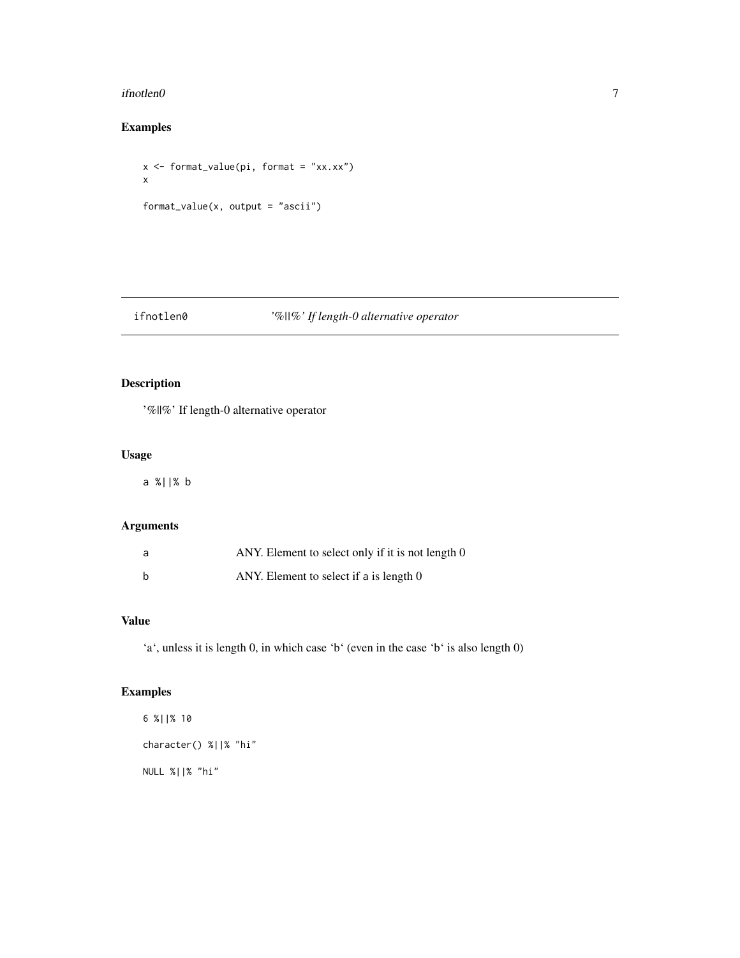#### <span id="page-6-0"></span>ifnotlen $0$  7

# Examples

x <- format\_value(pi, format = "xx.xx") x format\_value(x, output = "ascii")

# ifnotlen0 *'%||%' If length-0 alternative operator*

# Description

'%||%' If length-0 alternative operator

# Usage

a %||% b

# Arguments

| a | ANY. Element to select only if it is not length 0 |
|---|---------------------------------------------------|
| b | ANY. Element to select if a is length 0           |

# Value

'a', unless it is length 0, in which case 'b' (even in the case 'b' is also length 0)

# Examples

```
6 %||% 10
character() %||% "hi"
NULL %||% "hi"
```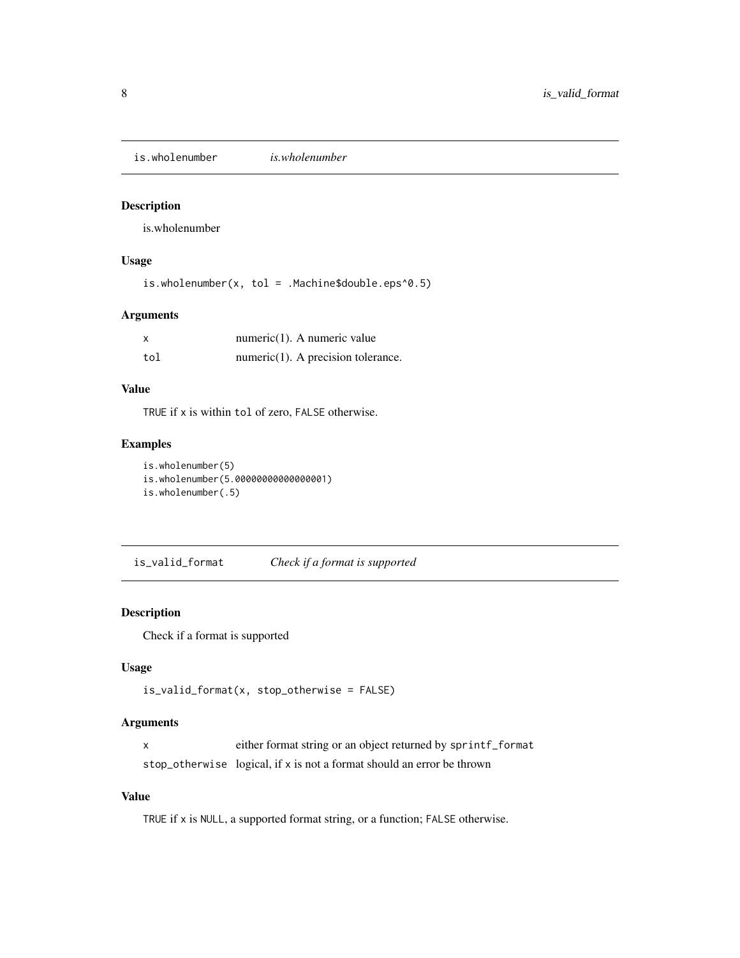<span id="page-7-1"></span><span id="page-7-0"></span>is.wholenumber *is.wholenumber*

# Description

is.wholenumber

# Usage

is.wholenumber(x, tol = .Machine\$double.eps^0.5)

# Arguments

|     | numeric $(1)$ . A numeric value       |
|-----|---------------------------------------|
| tol | $numeric(1)$ . A precision tolerance. |

# Value

TRUE if x is within tol of zero, FALSE otherwise.

# Examples

is.wholenumber(5) is.wholenumber(5.00000000000000001) is.wholenumber(.5)

is\_valid\_format *Check if a format is supported*

# Description

Check if a format is supported

#### Usage

```
is_valid_format(x, stop_otherwise = FALSE)
```
#### Arguments

x either format string or an object returned by sprintf\_format stop\_otherwise logical, if x is not a format should an error be thrown

#### Value

TRUE if x is NULL, a supported format string, or a function; FALSE otherwise.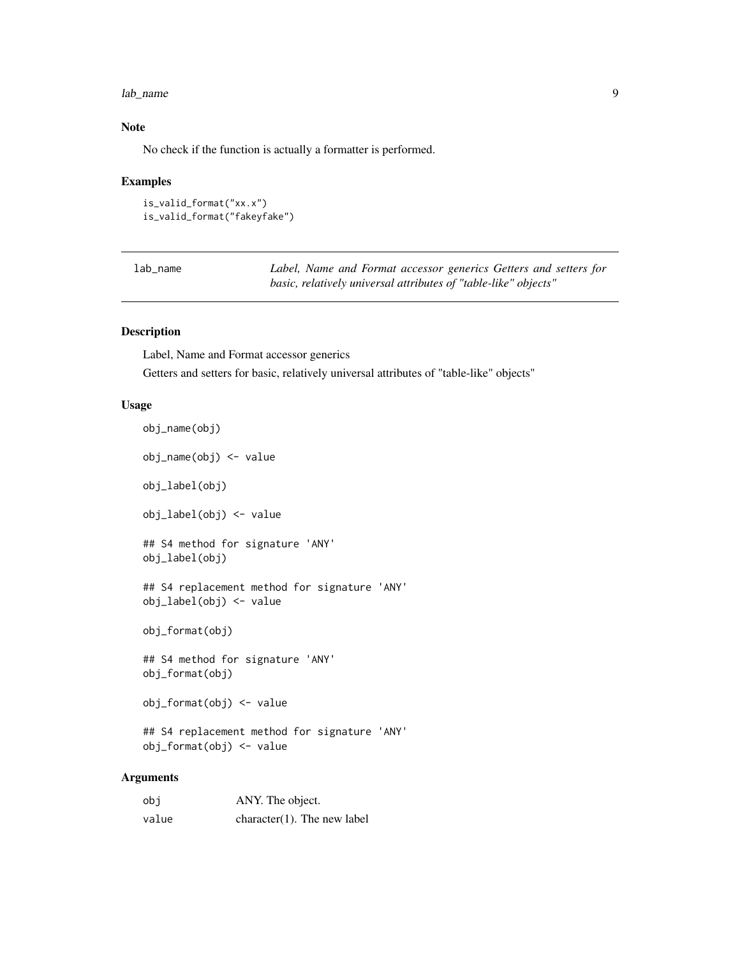#### <span id="page-8-0"></span>lab\_name 9

#### Note

No check if the function is actually a formatter is performed.

#### Examples

```
is_valid_format("xx.x")
is_valid_format("fakeyfake")
```

| lab name |
|----------|
|----------|

Label, Name and Format accessor generics Getters and setters for *basic, relatively universal attributes of "table-like" objects"*

#### Description

Label, Name and Format accessor generics

Getters and setters for basic, relatively universal attributes of "table-like" objects"

#### Usage

```
obj_name(obj)
   obj_name(obj) <- value
   obj_label(obj)
   obj_label(obj) <- value
   ## S4 method for signature 'ANY'
   obj_label(obj)
   ## S4 replacement method for signature 'ANY'
   obj_label(obj) <- value
   obj_format(obj)
   ## S4 method for signature 'ANY'
   obj_format(obj)
   obj_format(obj) <- value
   ## S4 replacement method for signature 'ANY'
   obj_format(obj) <- value
Arguments
```
# obj ANY. The object. value character(1). The new label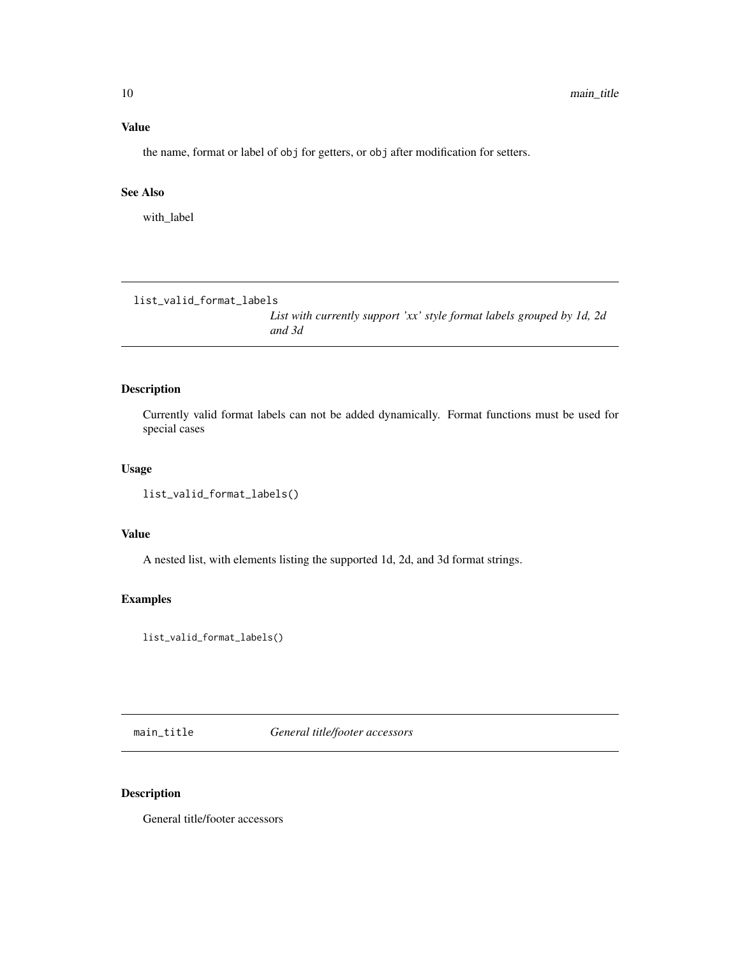#### <span id="page-9-0"></span>Value

the name, format or label of obj for getters, or obj after modification for setters.

#### See Also

with\_label

list\_valid\_format\_labels

*List with currently support 'xx' style format labels grouped by 1d, 2d and 3d*

#### Description

Currently valid format labels can not be added dynamically. Format functions must be used for special cases

#### Usage

```
list_valid_format_labels()
```
#### Value

A nested list, with elements listing the supported 1d, 2d, and 3d format strings.

#### Examples

list\_valid\_format\_labels()

main\_title *General title/footer accessors*

# Description

General title/footer accessors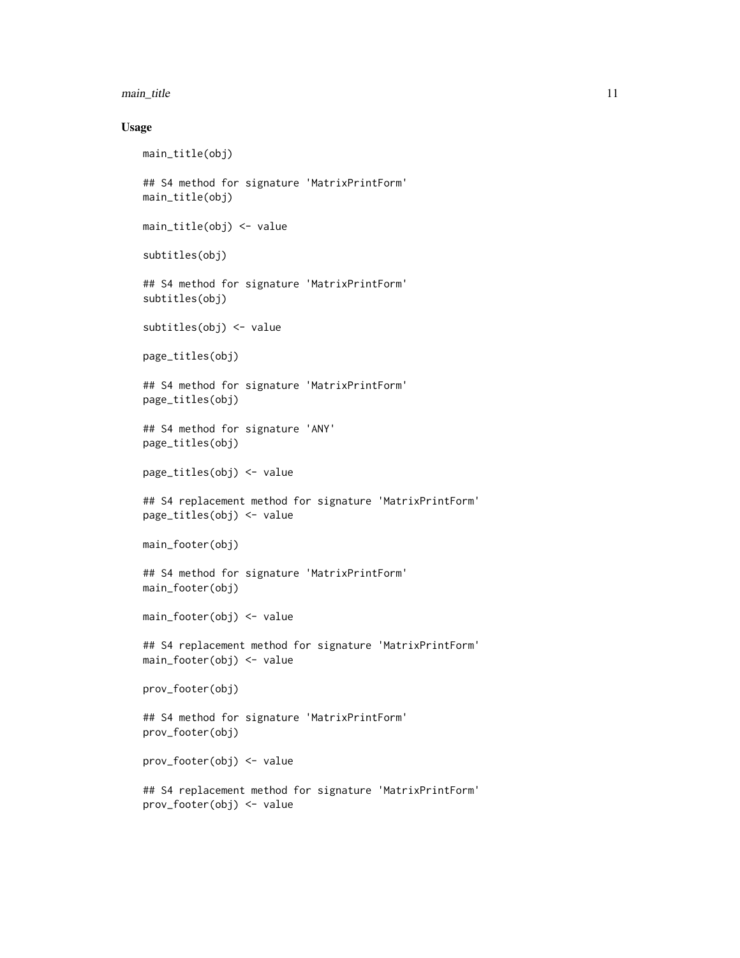#### main\_title 11

#### Usage

```
main_title(obj)
## S4 method for signature 'MatrixPrintForm'
main_title(obj)
main_title(obj) <- value
subtitles(obj)
## S4 method for signature 'MatrixPrintForm'
subtitles(obj)
subtitles(obj) <- value
page_titles(obj)
## S4 method for signature 'MatrixPrintForm'
page_titles(obj)
## S4 method for signature 'ANY'
page_titles(obj)
page_titles(obj) <- value
## S4 replacement method for signature 'MatrixPrintForm'
page_titles(obj) <- value
main_footer(obj)
## S4 method for signature 'MatrixPrintForm'
main_footer(obj)
main_footer(obj) <- value
## S4 replacement method for signature 'MatrixPrintForm'
main_footer(obj) <- value
prov_footer(obj)
## S4 method for signature 'MatrixPrintForm'
prov_footer(obj)
prov_footer(obj) <- value
## S4 replacement method for signature 'MatrixPrintForm'
prov_footer(obj) <- value
```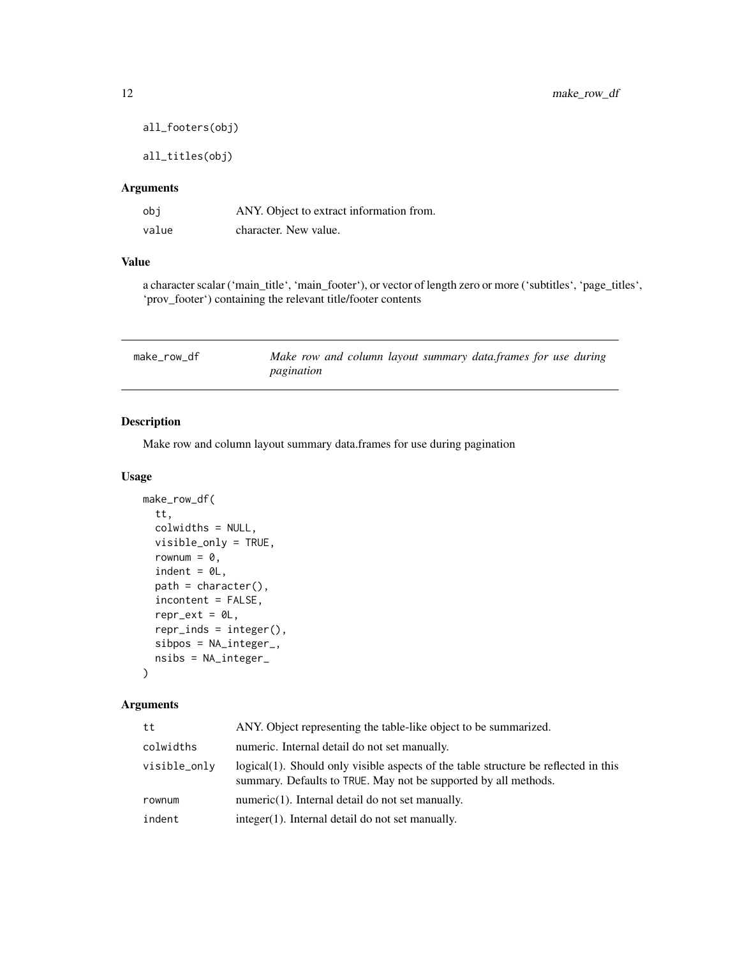```
all_footers(obj)
```
all\_titles(obj)

#### Arguments

| obi   | ANY. Object to extract information from. |
|-------|------------------------------------------|
| value | character. New value.                    |

#### Value

a character scalar ('main\_title', 'main\_footer'), or vector of length zero or more ('subtitles', 'page\_titles', 'prov\_footer') containing the relevant title/footer contents

| make_row_df | Make row and column layout summary data, frames for use during |
|-------------|----------------------------------------------------------------|
|             | pagination                                                     |

# Description

Make row and column layout summary data.frames for use during pagination

#### Usage

```
make_row_df(
  tt,
  colwidths = NULL,
  visible_only = TRUE,
  rownum = 0,indent = <math>0L</math>,path = character(),
  incontent = FALSE,
  repr\_ext = 0L,
  repr\_inds = integer(),sibpos = NA_integer_,
 nsibs = NA_integer_
)
```
# Arguments

| tt           | ANY. Object representing the table-like object to be summarized.                                                                                       |
|--------------|--------------------------------------------------------------------------------------------------------------------------------------------------------|
| colwidths    | numeric. Internal detail do not set manually.                                                                                                          |
| visible_only | logical(1). Should only visible aspects of the table structure be reflected in this<br>summary. Defaults to TRUE. May not be supported by all methods. |
| rownum       | $numeric(1)$ . Internal detail do not set manually.                                                                                                    |
| indent       | integer(1). Internal detail do not set manually.                                                                                                       |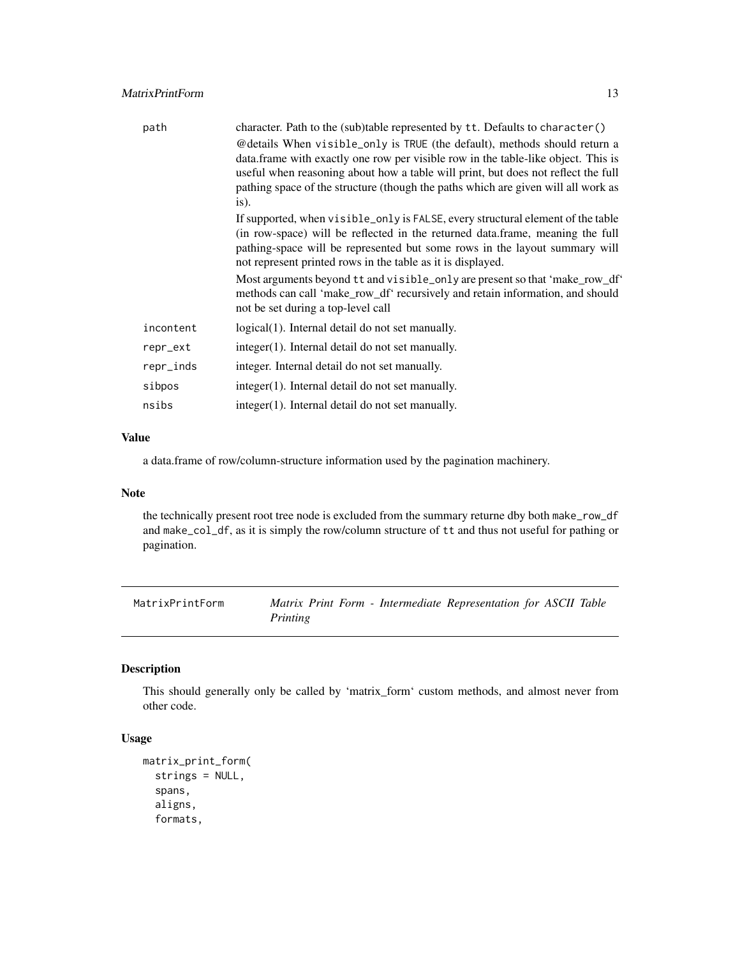<span id="page-12-0"></span>

| path      | character. Path to the (sub)table represented by tt. Defaults to character()                                                                                                                                                                                                                                                                     |
|-----------|--------------------------------------------------------------------------------------------------------------------------------------------------------------------------------------------------------------------------------------------------------------------------------------------------------------------------------------------------|
|           | @details When visible_only is TRUE (the default), methods should return a<br>data.frame with exactly one row per visible row in the table-like object. This is<br>useful when reasoning about how a table will print, but does not reflect the full<br>pathing space of the structure (though the paths which are given will all work as<br>is). |
|           | If supported, when visible_only is FALSE, every structural element of the table<br>(in row-space) will be reflected in the returned data.frame, meaning the full<br>pathing-space will be represented but some rows in the layout summary will<br>not represent printed rows in the table as it is displayed.                                    |
|           | Most arguments beyond tt and visible_only are present so that 'make_row_df'<br>methods can call 'make_row_df' recursively and retain information, and should<br>not be set during a top-level call                                                                                                                                               |
| incontent | logical(1). Internal detail do not set manually.                                                                                                                                                                                                                                                                                                 |
| repr_ext  | integer(1). Internal detail do not set manually.                                                                                                                                                                                                                                                                                                 |
| repr_inds | integer. Internal detail do not set manually.                                                                                                                                                                                                                                                                                                    |
| sibpos    | integer(1). Internal detail do not set manually.                                                                                                                                                                                                                                                                                                 |
| nsibs     | integer(1). Internal detail do not set manually.                                                                                                                                                                                                                                                                                                 |

#### Value

a data.frame of row/column-structure information used by the pagination machinery.

# Note

the technically present root tree node is excluded from the summary returne dby both make\_row\_df and make\_col\_df, as it is simply the row/column structure of tt and thus not useful for pathing or pagination.

MatrixPrintForm *Matrix Print Form - Intermediate Representation for ASCII Table Printing*

# Description

This should generally only be called by 'matrix\_form' custom methods, and almost never from other code.

# Usage

```
matrix_print_form(
  strings = NULL,
  spans,
  aligns,
  formats,
```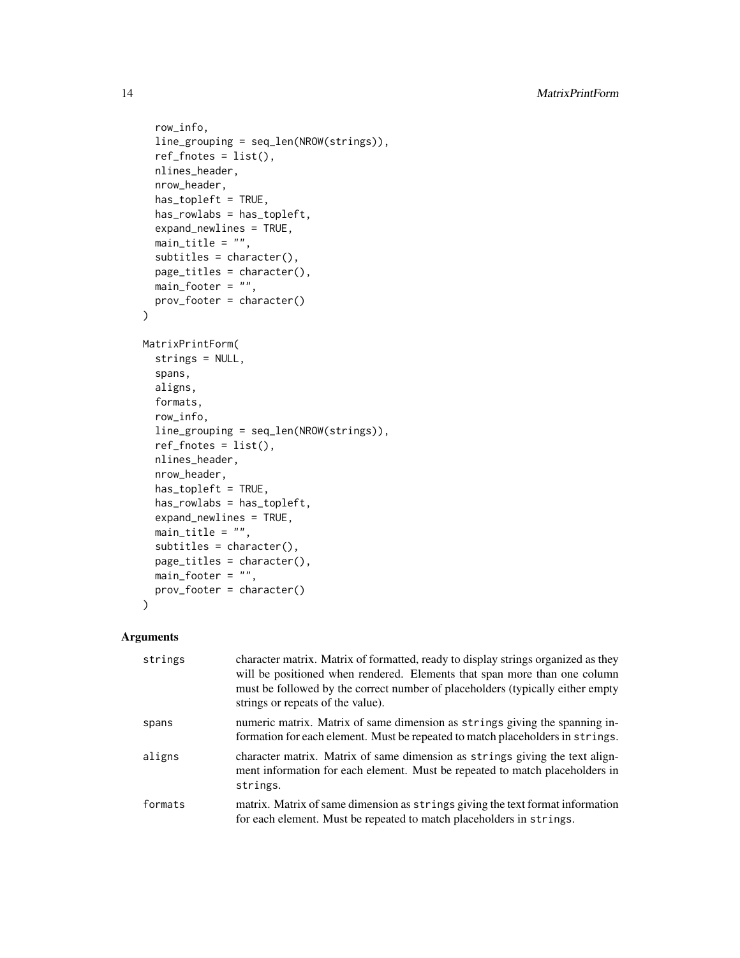```
row_info,
  line_grouping = seq_len(NROW(strings)),
  ref_fnotes = list(),nlines_header,
  nrow_header,
  has_topleft = TRUE,
  has_rowlabs = has_topleft,
  expand_newlines = TRUE,
  main\_title = "",subtitles = character(),
 page_titles = character(),
 main\_footer = "",prov_footer = character()
)
MatrixPrintForm(
  strings = NULL,
  spans,
  aligns,
  formats,
  row_info,
  line_grouping = seq_len(NROW(strings)),
  ref\_fnotes = list(),nlines_header,
  nrow_header,
  has_topleft = TRUE,
  has_rowlabs = has_topleft,
  expand_newlines = TRUE,
  main_title = ",
  subtitles = character(),
  page_titles = character(),
 main\_footer = "",prov_footer = character()
\lambda
```
# Arguments

| strings | character matrix. Matrix of formatted, ready to display strings organized as they<br>will be positioned when rendered. Elements that span more than one column<br>must be followed by the correct number of placeholders (typically either empty<br>strings or repeats of the value). |
|---------|---------------------------------------------------------------------------------------------------------------------------------------------------------------------------------------------------------------------------------------------------------------------------------------|
| spans   | numeric matrix. Matrix of same dimension as strings giving the spanning in-<br>formation for each element. Must be repeated to match placeholders in strings.                                                                                                                         |
| aligns  | character matrix. Matrix of same dimension as strings giving the text align-<br>ment information for each element. Must be repeated to match placeholders in<br>strings.                                                                                                              |
| formats | matrix. Matrix of same dimension as strings giving the text format information<br>for each element. Must be repeated to match placeholders in strings.                                                                                                                                |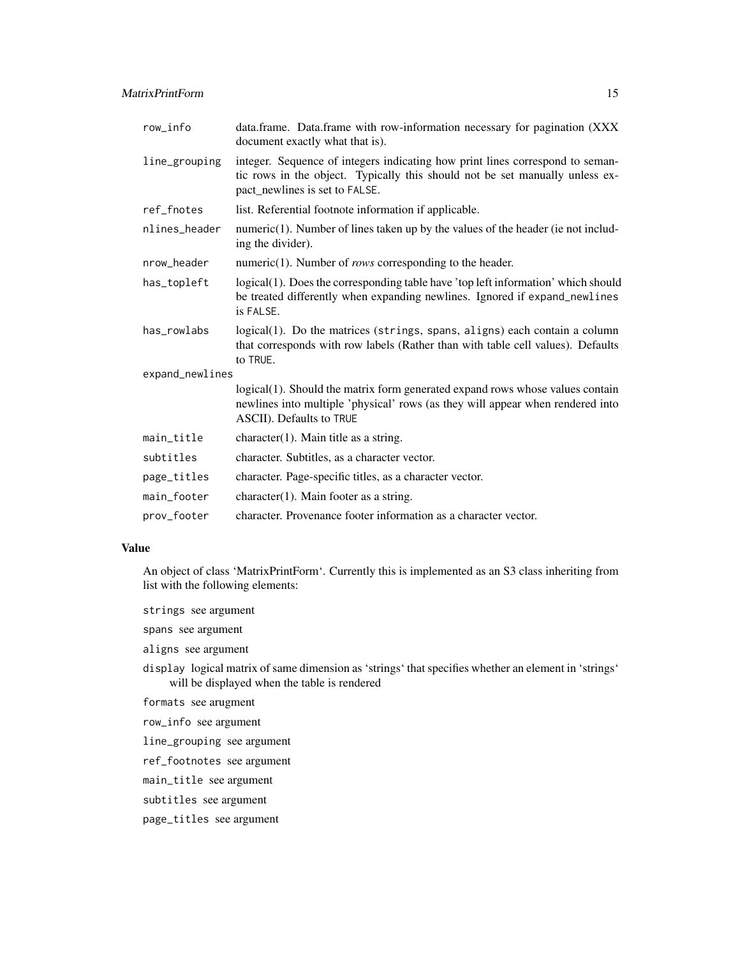| row_info        | data.frame. Data.frame with row-information necessary for pagination (XXX)<br>document exactly what that is).                                                                                   |  |
|-----------------|-------------------------------------------------------------------------------------------------------------------------------------------------------------------------------------------------|--|
| line_grouping   | integer. Sequence of integers indicating how print lines correspond to seman-<br>tic rows in the object. Typically this should not be set manually unless ex-<br>pact_newlines is set to FALSE. |  |
| ref_fnotes      | list. Referential footnote information if applicable.                                                                                                                                           |  |
| nlines header   | $numeric(1)$ . Number of lines taken up by the values of the header (ie not includ-<br>ing the divider).                                                                                        |  |
| nrow_header     | numeric $(1)$ . Number of <i>rows</i> corresponding to the header.                                                                                                                              |  |
| has_topleft     | logical(1). Does the corresponding table have 'top left information' which should<br>be treated differently when expanding newlines. Ignored if expand_newlines<br>is FALSE.                    |  |
| has_rowlabs     | logical(1). Do the matrices (strings, spans, aligns) each contain a column<br>that corresponds with row labels (Rather than with table cell values). Defaults<br>to TRUE.                       |  |
| expand_newlines |                                                                                                                                                                                                 |  |
|                 | logical(1). Should the matrix form generated expand rows whose values contain<br>newlines into multiple 'physical' rows (as they will appear when rendered into<br>ASCII). Defaults to TRUE     |  |
| main_title      | $character(1)$ . Main title as a string.                                                                                                                                                        |  |
| subtitles       | character. Subtitles, as a character vector.                                                                                                                                                    |  |
| page_titles     | character. Page-specific titles, as a character vector.                                                                                                                                         |  |
| main_footer     | $character(1)$ . Main footer as a string.                                                                                                                                                       |  |
| prov_footer     | character. Provenance footer information as a character vector.                                                                                                                                 |  |

#### Value

An object of class 'MatrixPrintForm'. Currently this is implemented as an S3 class inheriting from list with the following elements:

strings see argument

spans see argument

aligns see argument

display logical matrix of same dimension as 'strings' that specifies whether an element in 'strings' will be displayed when the table is rendered

formats see arugment

row\_info see argument

line\_grouping see argument

ref\_footnotes see argument

main\_title see argument

subtitles see argument

page\_titles see argument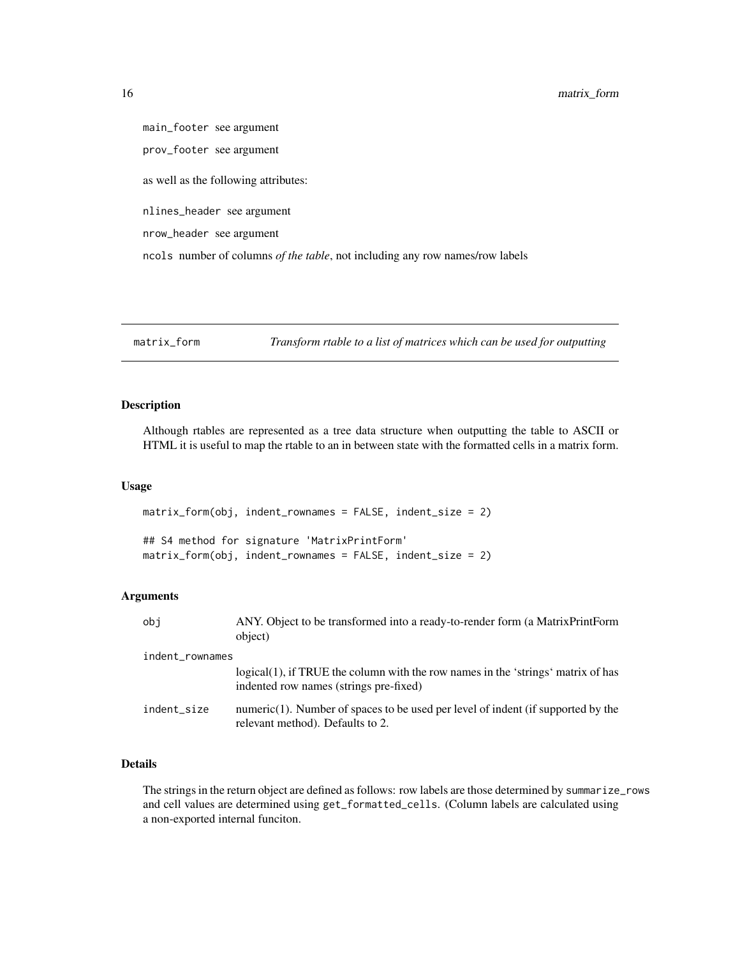<span id="page-15-0"></span>main\_footer see argument prov\_footer see argument as well as the following attributes: nlines\_header see argument nrow\_header see argument ncols number of columns *of the table*, not including any row names/row labels

```
matrix_form Transform rtable to a list of matrices which can be used for outputting
```
#### Description

Although rtables are represented as a tree data structure when outputting the table to ASCII or HTML it is useful to map the rtable to an in between state with the formatted cells in a matrix form.

#### Usage

matrix\_form(obj, indent\_rownames = FALSE, indent\_size = 2) ## S4 method for signature 'MatrixPrintForm' matrix\_form(obj, indent\_rownames = FALSE, indent\_size = 2)

#### Arguments

| obi             | ANY. Object to be transformed into a ready-to-render form (a Matrix Print Form<br>object)                                  |  |
|-----------------|----------------------------------------------------------------------------------------------------------------------------|--|
| indent_rownames |                                                                                                                            |  |
|                 | logical(1), if TRUE the column with the row names in the 'strings' matrix of has<br>indented row names (strings pre-fixed) |  |
| indent_size     | numeric $(1)$ . Number of spaces to be used per level of indent (if supported by the<br>relevant method). Defaults to 2.   |  |

# Details

The strings in the return object are defined as follows: row labels are those determined by summarize\_rows and cell values are determined using get\_formatted\_cells. (Column labels are calculated using a non-exported internal funciton.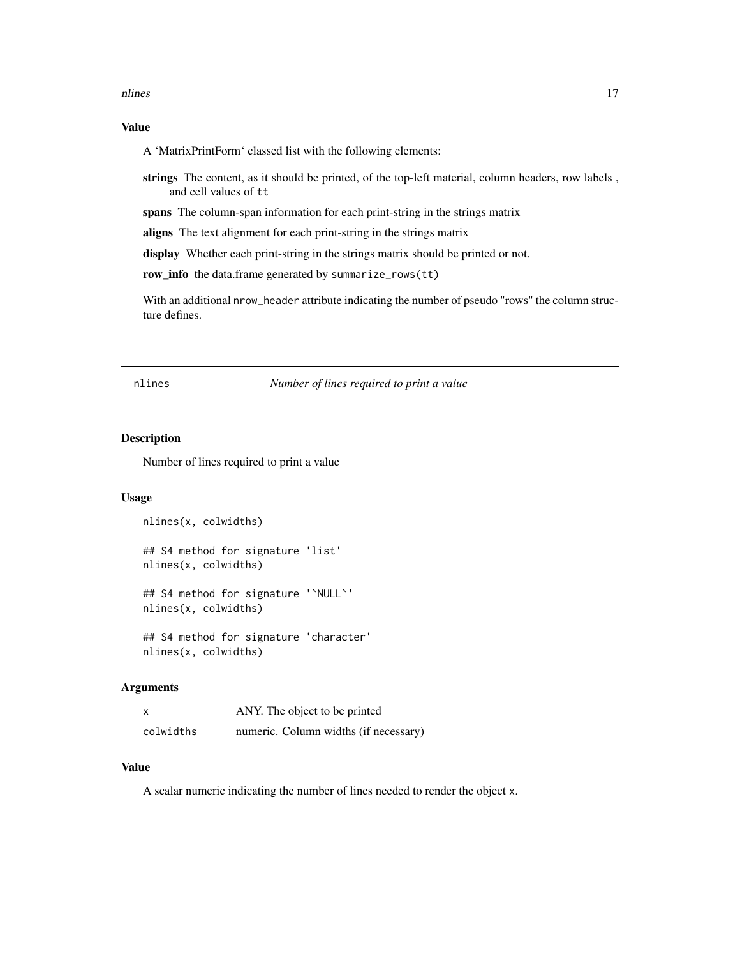#### <span id="page-16-0"></span>nlines and the set of the set of the set of the set of the set of the set of the set of the set of the set of the set of the set of the set of the set of the set of the set of the set of the set of the set of the set of th

#### Value

A 'MatrixPrintForm' classed list with the following elements:

strings The content, as it should be printed, of the top-left material, column headers, row labels , and cell values of tt

spans The column-span information for each print-string in the strings matrix

aligns The text alignment for each print-string in the strings matrix

display Whether each print-string in the strings matrix should be printed or not.

row\_info the data.frame generated by summarize\_rows(tt)

With an additional nrow\_header attribute indicating the number of pseudo "rows" the column structure defines.

nlines *Number of lines required to print a value*

# Description

Number of lines required to print a value

#### Usage

```
nlines(x, colwidths)
## S4 method for signature 'list'
nlines(x, colwidths)
## S4 method for signature '`NULL`'
nlines(x, colwidths)
```
## S4 method for signature 'character' nlines(x, colwidths)

#### Arguments

| X         | ANY. The object to be printed         |
|-----------|---------------------------------------|
| colwidths | numeric. Column widths (if necessary) |

#### Value

A scalar numeric indicating the number of lines needed to render the object x.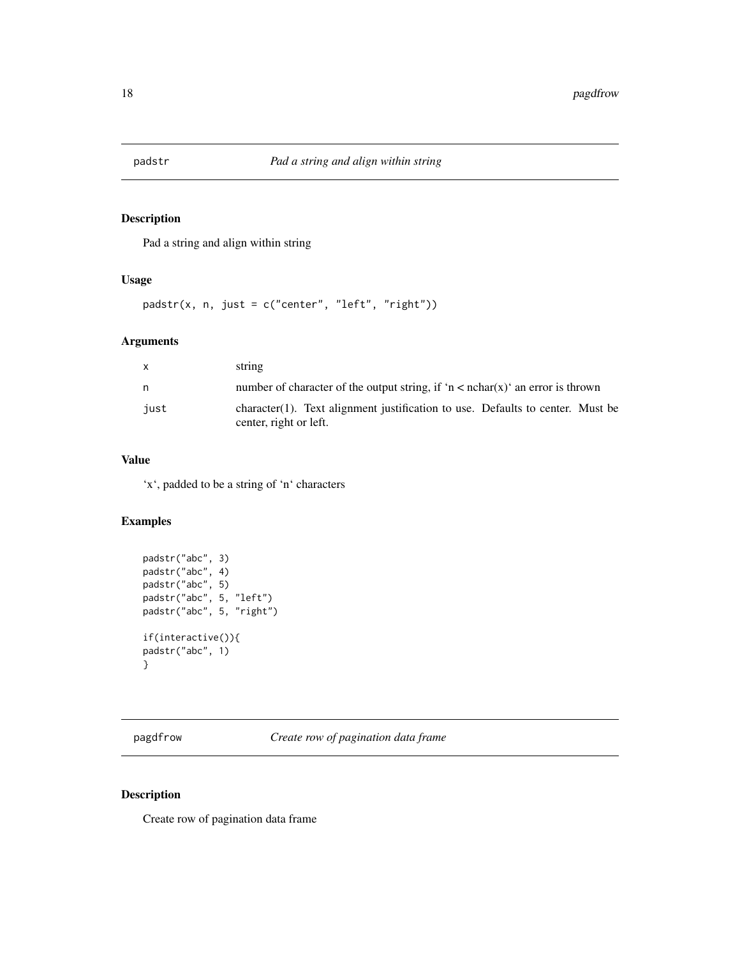<span id="page-17-0"></span>

# Description

Pad a string and align within string

#### Usage

padstr(x, n, just = c("center", "left", "right"))

# Arguments

| $\mathsf{x}$ | string                                                                                                   |
|--------------|----------------------------------------------------------------------------------------------------------|
| n.           | number of character of the output string, if 'n < $nchar(x)$ ' an error is thrown                        |
| iust         | character(1). Text alignment justification to use. Defaults to center. Must be<br>center, right or left. |

# Value

'x', padded to be a string of 'n' characters

# Examples

```
padstr("abc", 3)
padstr("abc", 4)
padstr("abc", 5)
padstr("abc", 5, "left")
padstr("abc", 5, "right")
if(interactive()){
padstr("abc", 1)
}
```
pagdfrow *Create row of pagination data frame*

# Description

Create row of pagination data frame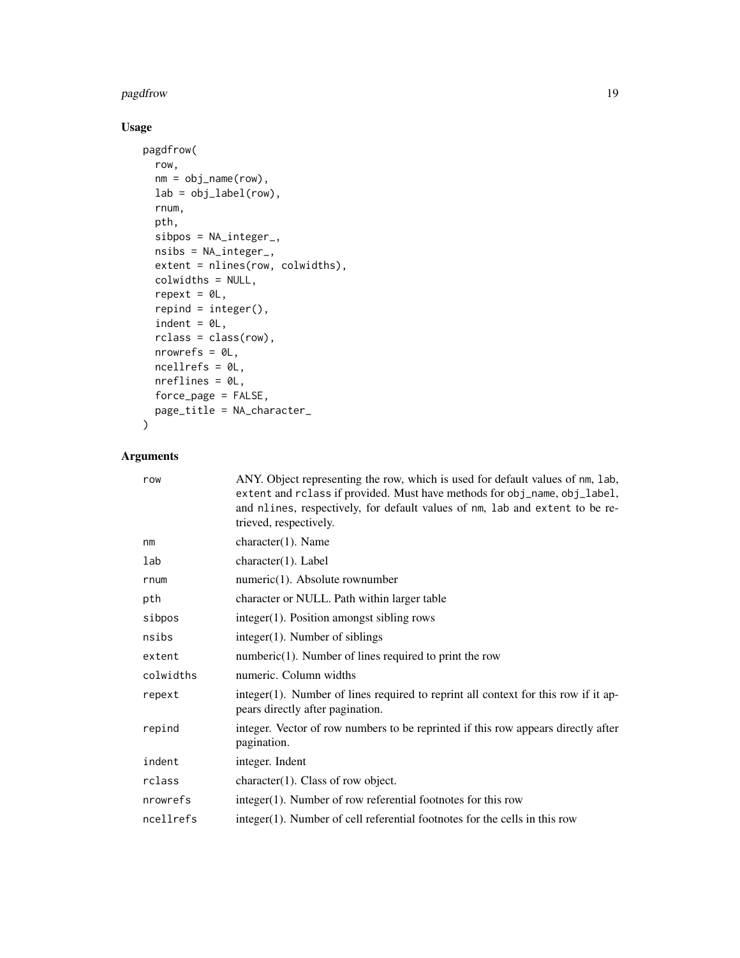#### pagdfrow the contract of the contract of the contract of the contract of the contract of the contract of the contract of the contract of the contract of the contract of the contract of the contract of the contract of the c

# Usage

```
pagdfrow(
  row,
  nm = obj_name(row),
  lab = obj_label(row),
  rnum,
  pth,
  sibpos = NA_integer_,
  nsibs = NA_integer_,
  extent = nlines(row, colwidths),
  colwidths = NULL,
  repest = <math>ØL</math>,repind = integer(),indent = 0L,rclass = class(row),
  nrowrefs = 0L,
  ncellrefs = 0L,
  nreflines = 0L,
  force_page = FALSE,
  page_title = NA_character_
\mathcal{L}
```
# Arguments

| row       | ANY. Object representing the row, which is used for default values of nm, lab,<br>extent and rclass if provided. Must have methods for obj_name, obj_label,<br>and nlines, respectively, for default values of nm, lab and extent to be re-<br>trieved, respectively. |  |
|-----------|-----------------------------------------------------------------------------------------------------------------------------------------------------------------------------------------------------------------------------------------------------------------------|--|
| nm        | $character(1)$ . Name                                                                                                                                                                                                                                                 |  |
| lab       | $character(1)$ . Label                                                                                                                                                                                                                                                |  |
| rnum      | $numeric(1)$ . Absolute rownumber                                                                                                                                                                                                                                     |  |
| pth       | character or NULL. Path within larger table                                                                                                                                                                                                                           |  |
| sibpos    | $integer(1)$ . Position amongst sibling rows                                                                                                                                                                                                                          |  |
| nsibs     | $integer(1)$ . Number of siblings                                                                                                                                                                                                                                     |  |
| extent    | $numberic(1)$ . Number of lines required to print the row                                                                                                                                                                                                             |  |
| colwidths | numeric. Column widths                                                                                                                                                                                                                                                |  |
| repext    | integer(1). Number of lines required to reprint all context for this row if it ap-<br>pears directly after pagination.                                                                                                                                                |  |
| repind    | integer. Vector of row numbers to be reprinted if this row appears directly after<br>pagination.                                                                                                                                                                      |  |
| indent    | integer. Indent                                                                                                                                                                                                                                                       |  |
| rclass    | $character(1)$ . Class of row object.                                                                                                                                                                                                                                 |  |
| nrowrefs  | $integer(1)$ . Number of row referential footnotes for this row                                                                                                                                                                                                       |  |
| ncellrefs | integer(1). Number of cell referential footnotes for the cells in this row                                                                                                                                                                                            |  |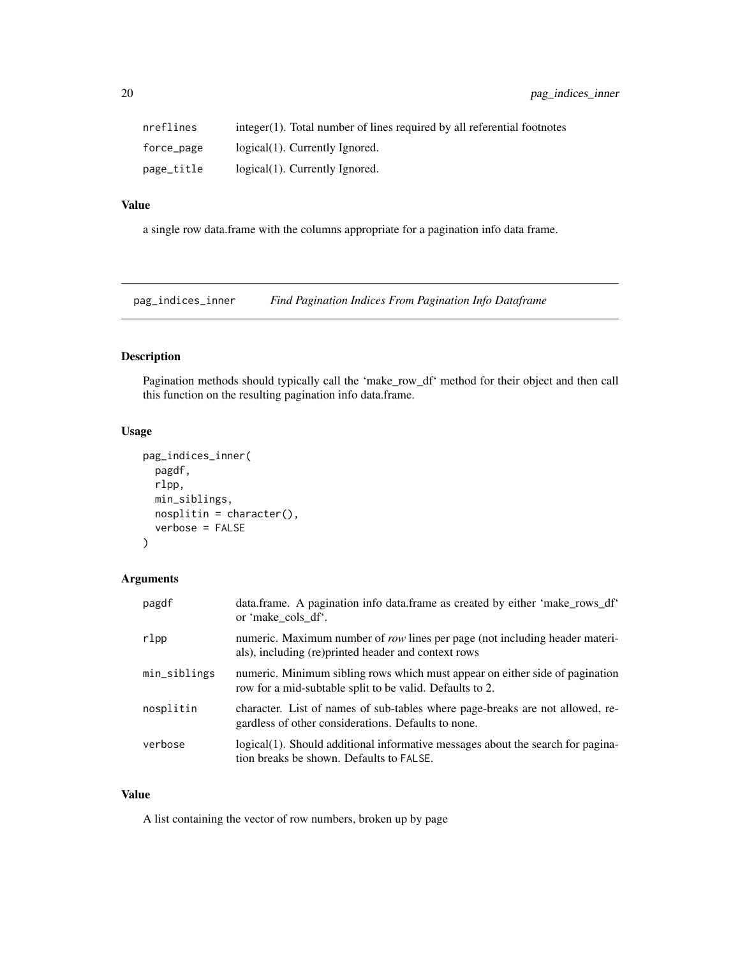<span id="page-19-0"></span>

| nreflines  | $integer(1)$ . Total number of lines required by all referential footnotes |
|------------|----------------------------------------------------------------------------|
| force_page | $logical(1)$ . Currently Ignored.                                          |
| page_title | logical(1). Currently Ignored.                                             |

#### Value

a single row data.frame with the columns appropriate for a pagination info data frame.

pag\_indices\_inner *Find Pagination Indices From Pagination Info Dataframe*

# Description

Pagination methods should typically call the 'make\_row\_df' method for their object and then call this function on the resulting pagination info data.frame.

# Usage

```
pag_indices_inner(
  pagdf,
  rlpp,
  min_siblings,
  nosplitin = character(),verbose = FALSE
)
```
# Arguments

| pagdf        | data.frame. A pagination info data.frame as created by either 'make_rows_df'<br>or 'make cols df'.                                       |
|--------------|------------------------------------------------------------------------------------------------------------------------------------------|
| rlpp         | numeric. Maximum number of row lines per page (not including header materi-<br>als), including (re) printed header and context rows      |
| min_siblings | numeric. Minimum sibling rows which must appear on either side of pagination<br>row for a mid-subtable split to be valid. Defaults to 2. |
| nosplitin    | character. List of names of sub-tables where page-breaks are not allowed, re-<br>gardless of other considerations. Defaults to none.     |
| verbose      | logical(1). Should additional informative messages about the search for pagina-<br>tion breaks be shown. Defaults to FALSE.              |

#### Value

A list containing the vector of row numbers, broken up by page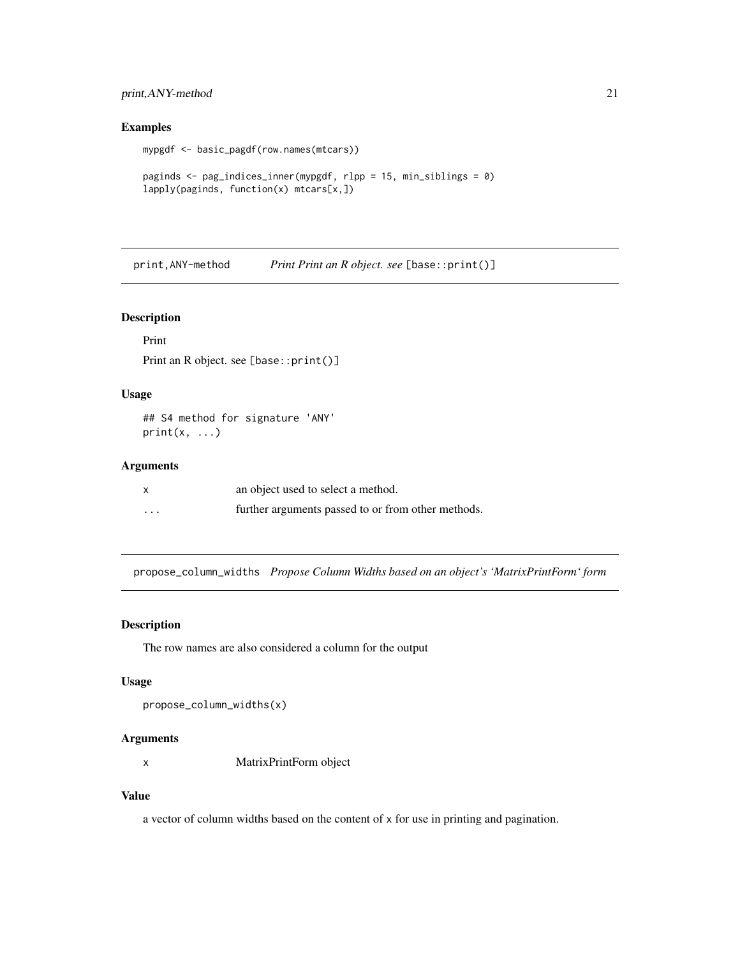# <span id="page-20-0"></span>print,ANY-method 21

#### Examples

```
mypgdf <- basic_pagdf(row.names(mtcars))
```

```
paginds <- pag_indices_inner(mypgdf, rlpp = 15, min_siblings = 0)
lapply(paginds, function(x) mtcars[x,])
```
print,ANY-method *Print Print an R object. see* [base::print()]

#### Description

Print

Print an R object. see [base::print()]

# Usage

## S4 method for signature 'ANY'  $print(x, \ldots)$ 

# Arguments

| $\times$ | an object used to select a method.                 |
|----------|----------------------------------------------------|
| $\cdots$ | further arguments passed to or from other methods. |

propose\_column\_widths *Propose Column Widths based on an object's 'MatrixPrintForm' form*

# Description

The row names are also considered a column for the output

#### Usage

```
propose_column_widths(x)
```
# Arguments

x MatrixPrintForm object

#### Value

a vector of column widths based on the content of x for use in printing and pagination.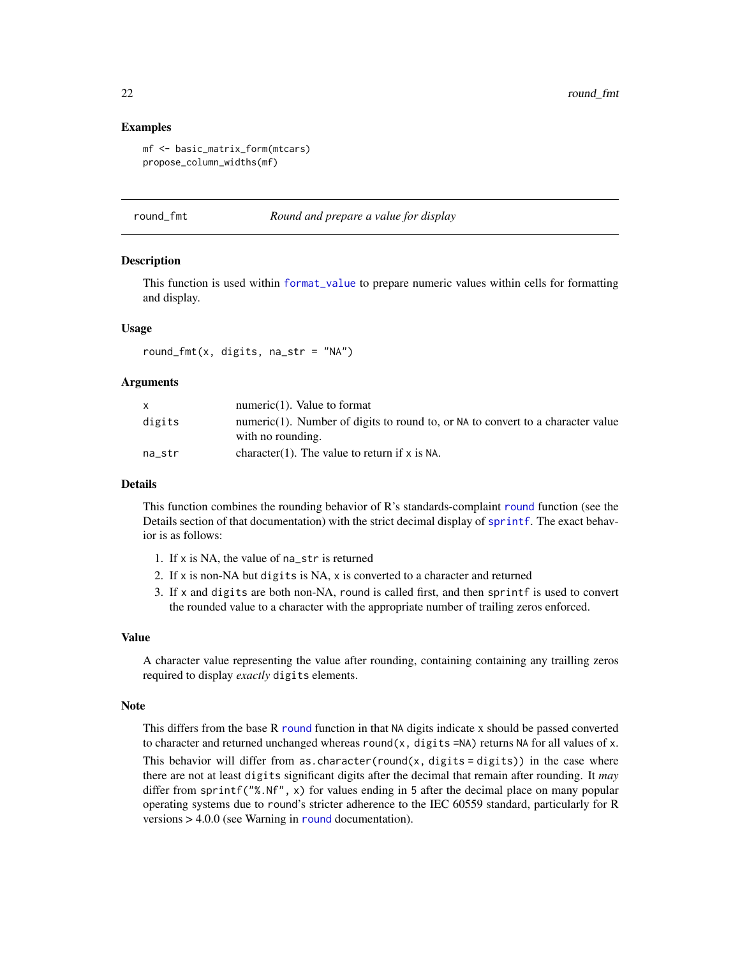22 round\_fmt

#### Examples

```
mf <- basic_matrix_form(mtcars)
propose_column_widths(mf)
```
round\_fmt *Round and prepare a value for display*

#### Description

This function is used within [format\\_value](#page-5-1) to prepare numeric values within cells for formatting and display.

#### Usage

round\_fmt(x, digits, na\_str = "NA")

#### Arguments

|        | numeric $(1)$ . Value to format                                                                      |
|--------|------------------------------------------------------------------------------------------------------|
| digits | numeric(1). Number of digits to round to, or NA to convert to a character value<br>with no rounding. |
| na str | character(1). The value to return if $x$ is NA.                                                      |

#### Details

This function combines the rounding behavior of R's standards-complaint [round](#page-0-0) function (see the Details section of that documentation) with the strict decimal display of [sprintf](#page-0-0). The exact behavior is as follows:

- 1. If x is NA, the value of na\_str is returned
- 2. If x is non-NA but digits is NA, x is converted to a character and returned
- 3. If x and digits are both non-NA, round is called first, and then sprintf is used to convert the rounded value to a character with the appropriate number of trailing zeros enforced.

#### Value

A character value representing the value after rounding, containing containing any trailling zeros required to display *exactly* digits elements.

#### Note

This differs from the base  $R$  [round](#page-0-0) function in that NA digits indicate x should be passed converted to character and returned unchanged whereas round(x, digits =NA) returns NA for all values of x. This behavior will differ from as.character(round(x, digits = digits)) in the case where there are not at least digits significant digits after the decimal that remain after rounding. It *may* differ from sprintf("%.Nf", x) for values ending in 5 after the decimal place on many popular operating systems due to round's stricter adherence to the IEC 60559 standard, particularly for R versions > 4.0.0 (see Warning in [round](#page-0-0) documentation).

<span id="page-21-0"></span>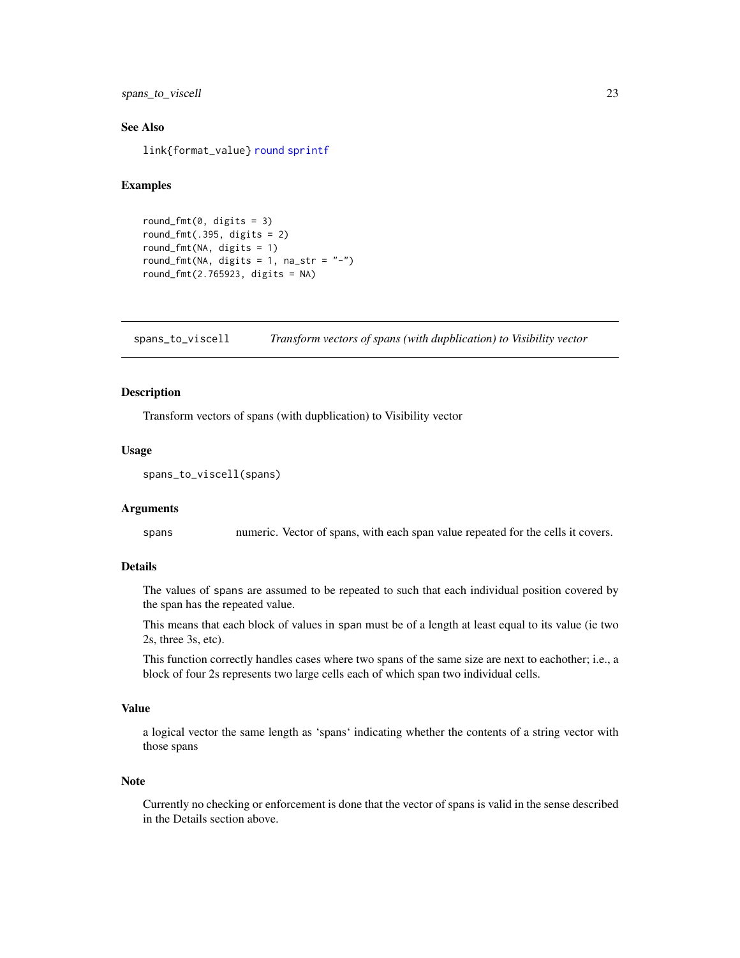<span id="page-22-0"></span>spans\_to\_viscell 23

#### See Also

link{format\_value} [round](#page-0-0) [sprintf](#page-0-0)

#### Examples

```
round_fmt(0, \text{ digits} = 3)round_fmt(.395, \text{ digits} = 2)round_fmt(NA, digits = 1)
round_fmt(NA, digits = 1, na_str = "-")
round_fmt(2.765923, digits = NA)
```
spans\_to\_viscell *Transform vectors of spans (with dupblication) to Visibility vector*

#### Description

Transform vectors of spans (with dupblication) to Visibility vector

#### Usage

```
spans_to_viscell(spans)
```
#### Arguments

spans numeric. Vector of spans, with each span value repeated for the cells it covers.

#### Details

The values of spans are assumed to be repeated to such that each individual position covered by the span has the repeated value.

This means that each block of values in span must be of a length at least equal to its value (ie two 2s, three 3s, etc).

This function correctly handles cases where two spans of the same size are next to eachother; i.e., a block of four 2s represents two large cells each of which span two individual cells.

#### Value

a logical vector the same length as 'spans' indicating whether the contents of a string vector with those spans

#### **Note**

Currently no checking or enforcement is done that the vector of spans is valid in the sense described in the Details section above.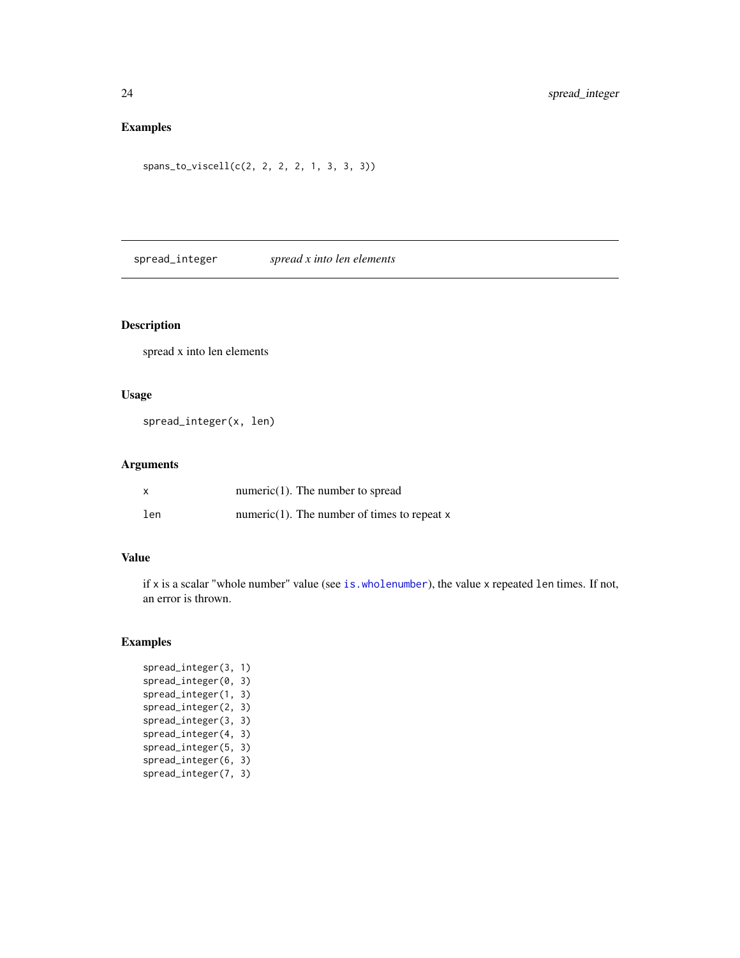# <span id="page-23-0"></span>Examples

```
spans_to_viscell(c(2, 2, 2, 2, 1, 3, 3, 3))
```
spread\_integer *spread x into len elements*

# Description

spread x into len elements

# Usage

spread\_integer(x, len)

# Arguments

|     | numeric $(1)$ . The number to spread           |
|-----|------------------------------------------------|
| len | $numeric(1)$ . The number of times to repeat x |

#### Value

if x is a scalar "whole number" value (see [is.wholenumber](#page-7-1)), the value x repeated len times. If not, an error is thrown.

# Examples

spread\_integer(3, 1) spread\_integer(0, 3) spread\_integer(1, 3) spread\_integer(2, 3) spread\_integer(3, 3) spread\_integer(4, 3) spread\_integer(5, 3) spread\_integer(6, 3) spread\_integer(7, 3)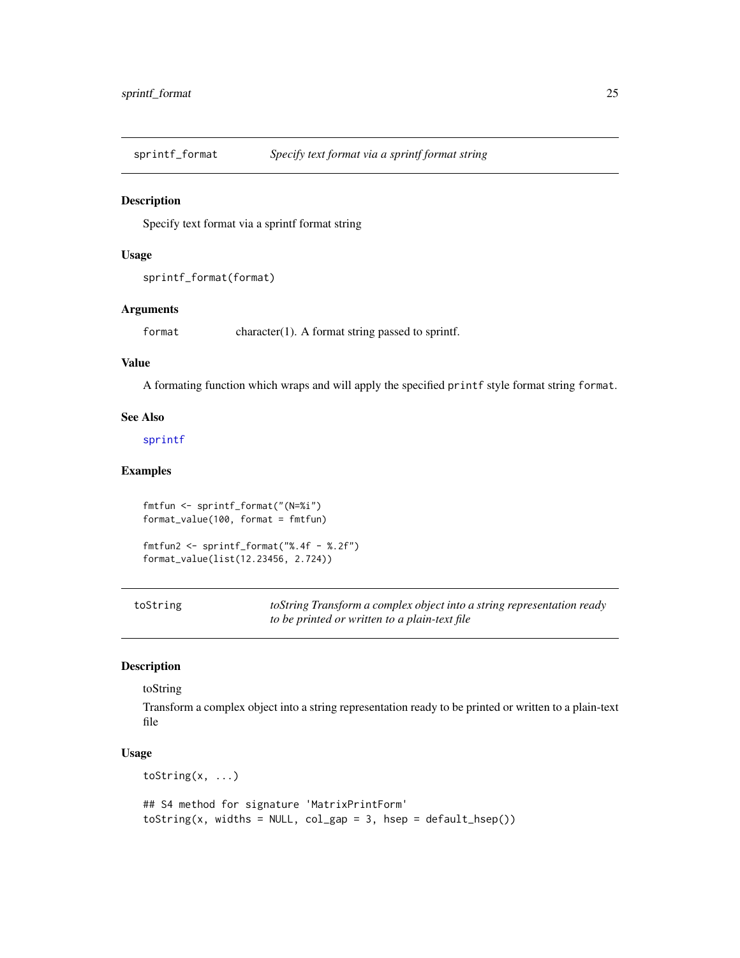<span id="page-24-0"></span>sprintf\_format *Specify text format via a sprintf format string*

#### Description

Specify text format via a sprintf format string

#### Usage

```
sprintf_format(format)
```
#### Arguments

format character(1). A format string passed to sprintf.

#### Value

A formating function which wraps and will apply the specified printf style format string format.

#### See Also

#### [sprintf](#page-0-0)

# Examples

```
fmtfun <- sprintf_format("(N=%i")
format_value(100, format = fmtfun)
```

```
fmtfun2 <- sprintf_format("%.4f - %.2f")
format_value(list(12.23456, 2.724))
```

| toString | toString Transform a complex object into a string representation ready |
|----------|------------------------------------------------------------------------|
|          | to be printed or written to a plain-text file                          |

# Description

#### toString

Transform a complex object into a string representation ready to be printed or written to a plain-text file

#### Usage

toString(x, ...)

```
## S4 method for signature 'MatrixPrintForm'
toString(x, widths = NULL, col_gap = 3, hsep = default_hsep())
```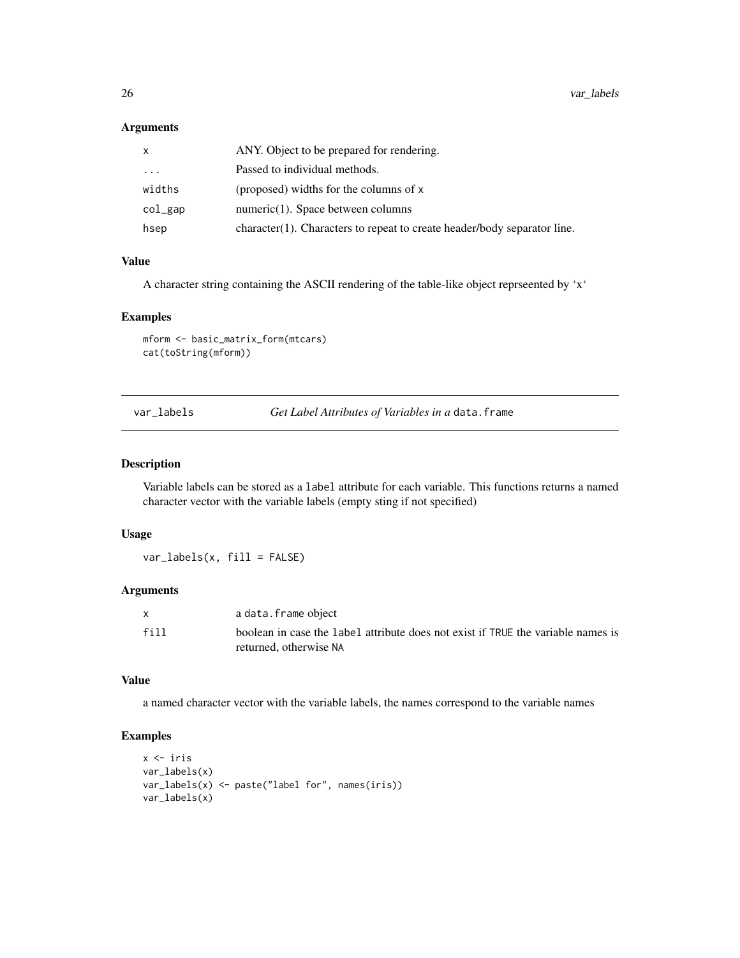#### <span id="page-25-0"></span>Arguments

| x        | ANY. Object to be prepared for rendering.                                |
|----------|--------------------------------------------------------------------------|
| $\cdots$ | Passed to individual methods.                                            |
| widths   | (proposed) widths for the columns of x                                   |
| col_gap  | $numeric(1)$ . Space between columns                                     |
| hsep     | character(1). Characters to repeat to create header/body separator line. |

# Value

A character string containing the ASCII rendering of the table-like object reprseented by 'x'

# Examples

mform <- basic\_matrix\_form(mtcars) cat(toString(mform))

var\_labels *Get Label Attributes of Variables in a* data.frame

# Description

Variable labels can be stored as a label attribute for each variable. This functions returns a named character vector with the variable labels (empty sting if not specified)

#### Usage

var\_labels(x, fill = FALSE)

#### Arguments

|      | a data.frame object                                                              |
|------|----------------------------------------------------------------------------------|
| fill | boolean in case the label attribute does not exist if TRUE the variable names is |
|      | returned, otherwise NA                                                           |

#### Value

a named character vector with the variable labels, the names correspond to the variable names

# Examples

```
x <- iris
var_labels(x)
var_labels(x) <- paste("label for", names(iris))
var_labels(x)
```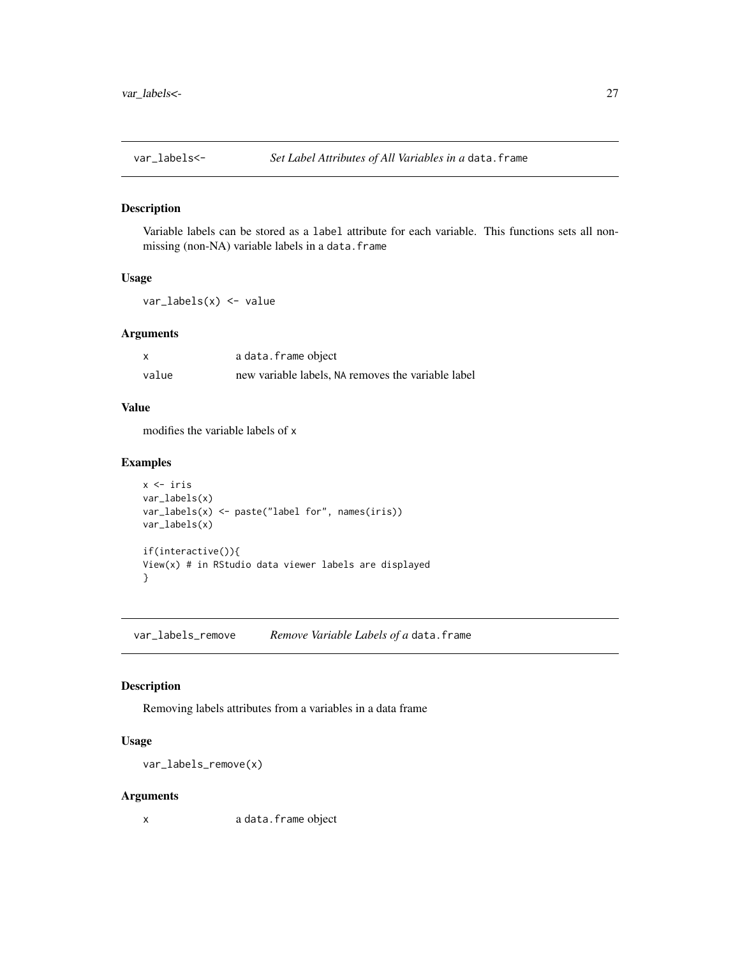<span id="page-26-0"></span>

#### Description

Variable labels can be stored as a label attribute for each variable. This functions sets all nonmissing (non-NA) variable labels in a data.frame

# Usage

var\_labels(x) <- value

#### Arguments

|       | a data.frame object                                |
|-------|----------------------------------------------------|
| value | new variable labels, NA removes the variable label |

#### Value

modifies the variable labels of x

#### Examples

```
x <- iris
var_labels(x)
var_labels(x) <- paste("label for", names(iris))
var_labels(x)
if(interactive()){
View(x) # in RStudio data viewer labels are displayed
}
```
var\_labels\_remove *Remove Variable Labels of a* data.frame

#### Description

Removing labels attributes from a variables in a data frame

#### Usage

var\_labels\_remove(x)

#### Arguments

x a data.frame object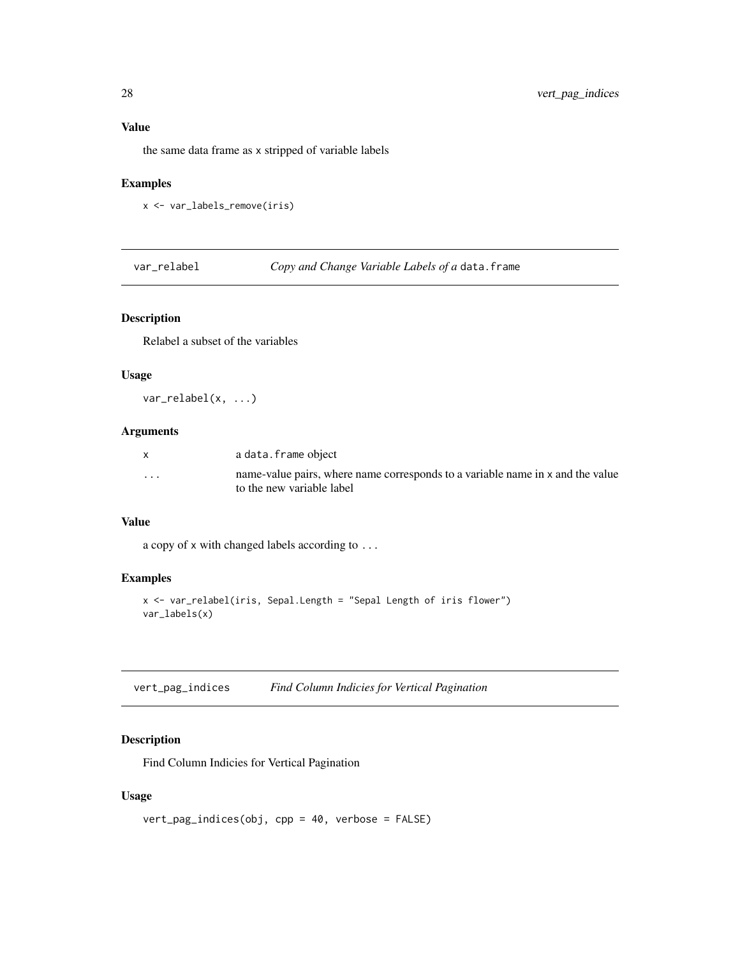# <span id="page-27-0"></span>Value

the same data frame as x stripped of variable labels

# Examples

```
x <- var_labels_remove(iris)
```
var\_relabel *Copy and Change Variable Labels of a* data.frame

#### Description

Relabel a subset of the variables

# Usage

var\_relabel(x, ...)

# Arguments

|   | a data.frame object                                                                                         |
|---|-------------------------------------------------------------------------------------------------------------|
| . | name-value pairs, where name corresponds to a variable name in x and the value<br>to the new variable label |

#### Value

a copy of x with changed labels according to ...

# Examples

```
x <- var_relabel(iris, Sepal.Length = "Sepal Length of iris flower")
var_labels(x)
```

| vert_pag_indices |  | Find Column Indicies for Vertical Pagination |
|------------------|--|----------------------------------------------|
|                  |  |                                              |

#### Description

Find Column Indicies for Vertical Pagination

# Usage

```
vert_pag_indices(obj, cpp = 40, verbose = FALSE)
```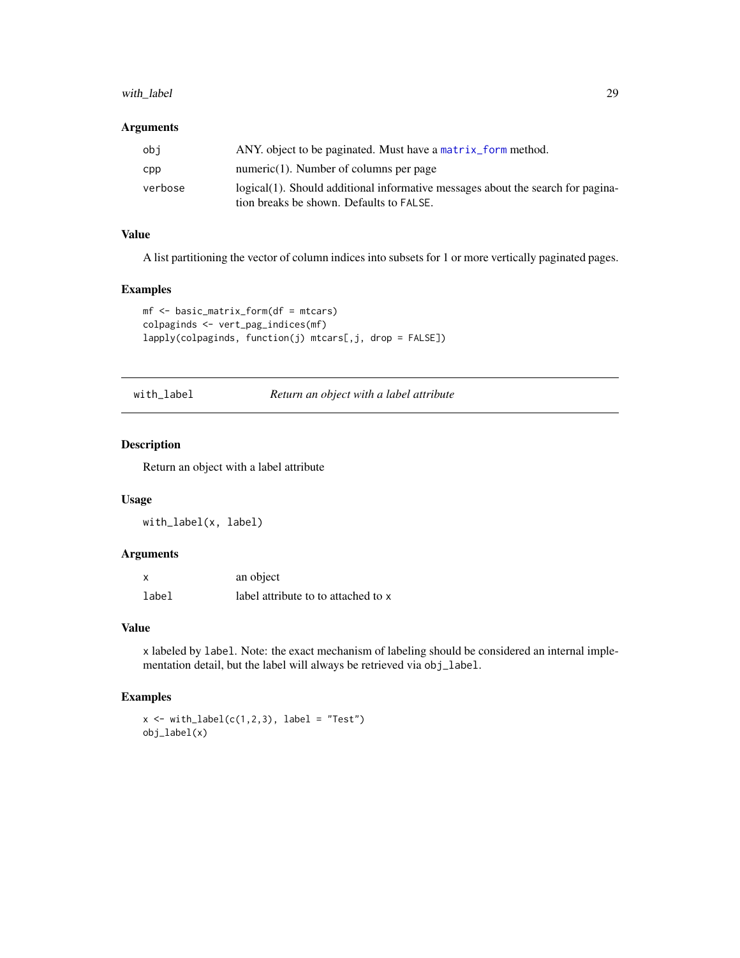# <span id="page-28-0"></span>with\_label 29

#### Arguments

| obi     | ANY, object to be paginated. Must have a matrix form method.                                                                |
|---------|-----------------------------------------------------------------------------------------------------------------------------|
| CDD.    | numeric $(1)$ . Number of columns per page                                                                                  |
| verbose | logical(1). Should additional informative messages about the search for pagina-<br>tion breaks be shown. Defaults to FALSE. |

# Value

A list partitioning the vector of column indices into subsets for 1 or more vertically paginated pages.

#### Examples

```
mf <- basic_matrix_form(df = mtcars)
colpaginds <- vert_pag_indices(mf)
lapply(colpaginds, function(j) mtcars[,j, drop = FALSE])
```
with\_label *Return an object with a label attribute*

# Description

Return an object with a label attribute

# Usage

with\_label(x, label)

#### Arguments

|       | an object                           |
|-------|-------------------------------------|
| label | label attribute to to attached to x |

#### Value

x labeled by label. Note: the exact mechanism of labeling should be considered an internal implementation detail, but the label will always be retrieved via obj\_label.

# Examples

```
x \leftarrow \text{with\_label}(c(1,2,3), \text{ label} = "Test")obj_label(x)
```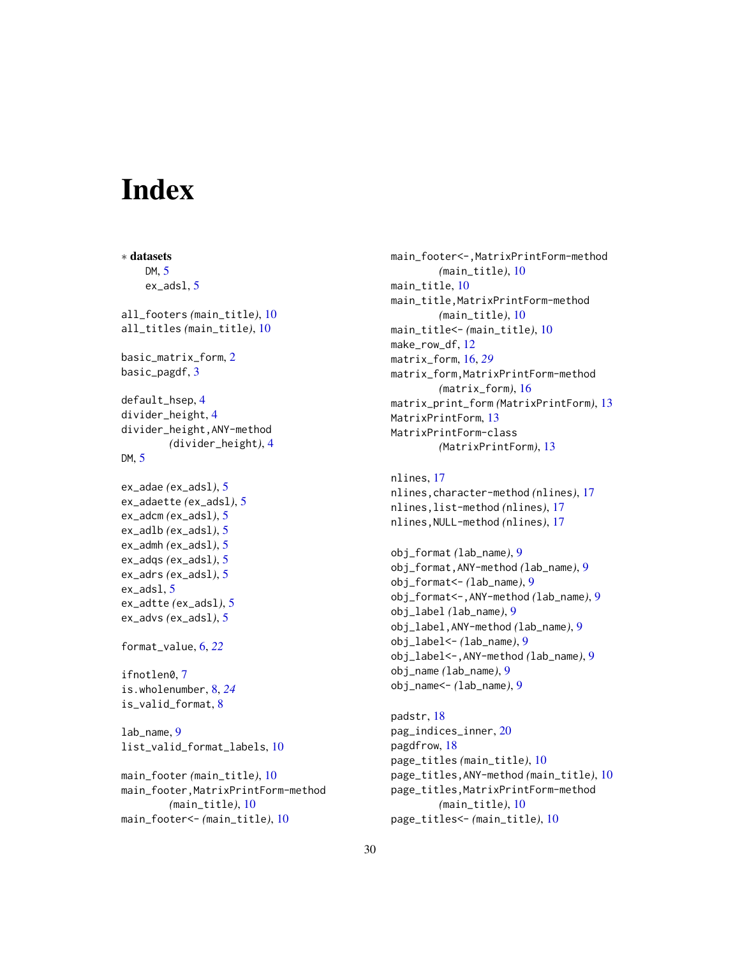# <span id="page-29-0"></span>**Index**

∗ datasets DM, [5](#page-4-0) ex\_adsl, [5](#page-4-0) all\_footers *(*main\_title*)*, [10](#page-9-0) all\_titles *(*main\_title*)*, [10](#page-9-0) basic\_matrix\_form, [2](#page-1-0) basic\_pagdf, [3](#page-2-0) default\_hsep, [4](#page-3-0) divider\_height, [4](#page-3-0) divider\_height,ANY-method *(*divider\_height*)*, [4](#page-3-0) DM, [5](#page-4-0) ex\_adae *(*ex\_adsl*)*, [5](#page-4-0) ex\_adaette *(*ex\_adsl*)*, [5](#page-4-0) ex\_adcm *(*ex\_adsl*)*, [5](#page-4-0) ex\_adlb *(*ex\_adsl*)*, [5](#page-4-0) ex\_admh *(*ex\_adsl*)*, [5](#page-4-0) ex\_adqs *(*ex\_adsl*)*, [5](#page-4-0) ex\_adrs *(*ex\_adsl*)*, [5](#page-4-0) ex\_adsl, [5](#page-4-0) ex\_adtte *(*ex\_adsl*)*, [5](#page-4-0) ex\_advs *(*ex\_adsl*)*, [5](#page-4-0) format\_value, [6,](#page-5-0) *[22](#page-21-0)* ifnotlen0, [7](#page-6-0) is.wholenumber, [8,](#page-7-0) *[24](#page-23-0)* is\_valid\_format, [8](#page-7-0) lab\_name, [9](#page-8-0) list\_valid\_format\_labels, [10](#page-9-0) main\_footer *(*main\_title*)*, [10](#page-9-0) main\_footer,MatrixPrintForm-method *(*main\_title*)*, [10](#page-9-0) main\_footer<- *(*main\_title*)*, [10](#page-9-0)

main\_footer<-,MatrixPrintForm-method *(*main\_title*)*, [10](#page-9-0) main\_title, [10](#page-9-0) main\_title,MatrixPrintForm-method *(*main\_title*)*, [10](#page-9-0) main\_title<- *(*main\_title*)*, [10](#page-9-0) make\_row\_df, [12](#page-11-0) matrix\_form, [16,](#page-15-0) *[29](#page-28-0)* matrix\_form,MatrixPrintForm-method *(*matrix\_form*)*, [16](#page-15-0) matrix\_print\_form *(*MatrixPrintForm*)*, [13](#page-12-0) MatrixPrintForm, [13](#page-12-0) MatrixPrintForm-class *(*MatrixPrintForm*)*, [13](#page-12-0)

```
nlines, 17
nlines,character-method (nlines), 17
nlines,list-method (nlines), 17
nlines,NULL-method (nlines), 17
```

```
obj_format (lab_name), 9
obj_format,ANY-method (lab_name), 9
obj_format<- (lab_name), 9
obj_format<-,ANY-method (lab_name), 9
obj_label (lab_name), 9
obj_label,ANY-method (lab_name), 9
obj_label<- (lab_name), 9
obj_label<-,ANY-method (lab_name), 9
obj_name (lab_name), 9
obj_name<- (lab_name), 9
```

```
padstr, 18
pag_indices_inner, 20
pagdfrow, 18
page_titles (main_title), 10
page_titles,ANY-method (main_title), 10
page_titles,MatrixPrintForm-method
        (main_title), 10
page_titles<- (main_title), 10
```